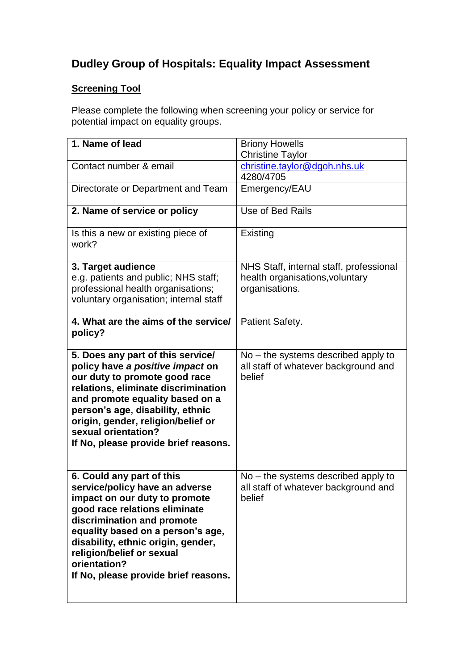## **Dudley Group of Hospitals: Equality Impact Assessment**

## **Screening Tool**

Please complete the following when screening your policy or service for potential impact on equality groups.

| 1. Name of lead                                                                                                                                                                                                                                                                                                           | <b>Briony Howells</b>                                                                   |
|---------------------------------------------------------------------------------------------------------------------------------------------------------------------------------------------------------------------------------------------------------------------------------------------------------------------------|-----------------------------------------------------------------------------------------|
|                                                                                                                                                                                                                                                                                                                           | <b>Christine Taylor</b>                                                                 |
| Contact number & email                                                                                                                                                                                                                                                                                                    | christine.taylor@dgoh.nhs.uk<br>4280/4705                                               |
| Directorate or Department and Team                                                                                                                                                                                                                                                                                        | Emergency/EAU                                                                           |
| 2. Name of service or policy                                                                                                                                                                                                                                                                                              | Use of Bed Rails                                                                        |
| Is this a new or existing piece of<br>work?                                                                                                                                                                                                                                                                               | Existing                                                                                |
| 3. Target audience                                                                                                                                                                                                                                                                                                        | NHS Staff, internal staff, professional                                                 |
| e.g. patients and public; NHS staff;                                                                                                                                                                                                                                                                                      | health organisations, voluntary                                                         |
| professional health organisations;<br>voluntary organisation; internal staff                                                                                                                                                                                                                                              | organisations.                                                                          |
| 4. What are the aims of the service/<br>policy?                                                                                                                                                                                                                                                                           | Patient Safety.                                                                         |
| 5. Does any part of this service/<br>policy have a positive impact on<br>our duty to promote good race<br>relations, eliminate discrimination<br>and promote equality based on a<br>person's age, disability, ethnic<br>origin, gender, religion/belief or<br>sexual orientation?<br>If No, please provide brief reasons. | $No$ – the systems described apply to<br>all staff of whatever background and<br>belief |
| 6. Could any part of this<br>service/policy have an adverse<br>impact on our duty to promote<br>good race relations eliminate<br>discrimination and promote<br>equality based on a person's age,<br>disability, ethnic origin, gender,<br>religion/belief or sexual                                                       | $No$ – the systems described apply to<br>all staff of whatever background and<br>belief |